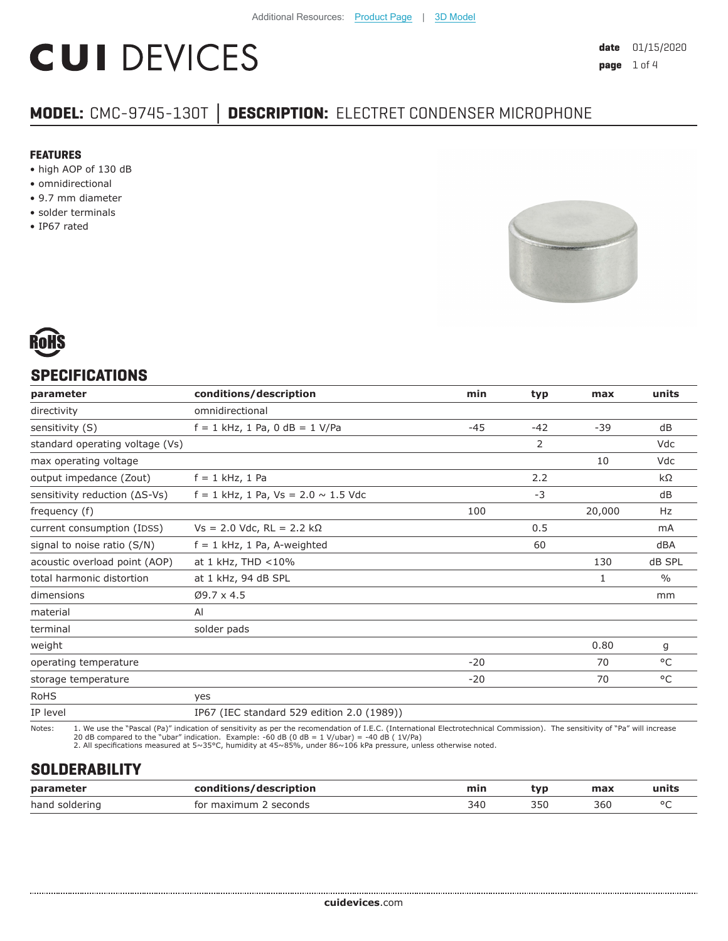# **CUI DEVICES**

# **MODEL:** CMC-9745-130T **│ DESCRIPTION:** ELECTRET CONDENSER MICROPHONE

#### **FEATURES**

- high AOP of 130 dB
- omnidirectional
- 9.7 mm diameter
- solder terminals
- IP67 rated





## **SPECIFICATIONS**

| parameter                       | conditions/description                     | min   | typ   | max    | units         |
|---------------------------------|--------------------------------------------|-------|-------|--------|---------------|
| directivity                     | omnidirectional                            |       |       |        |               |
| sensitivity (S)                 | $f = 1$ kHz, 1 Pa, 0 dB = 1 V/Pa           | $-45$ | $-42$ | $-39$  | dB            |
| standard operating voltage (Vs) |                                            |       | 2     |        | Vdc           |
| max operating voltage           |                                            |       |       | 10     | Vdc           |
| output impedance (Zout)         | $f = 1$ kHz, 1 Pa                          |       | 2.2   |        | kΩ            |
| sensitivity reduction (ΔS-Vs)   | $f = 1$ kHz, 1 Pa, Vs = 2.0 $\sim$ 1.5 Vdc |       | $-3$  |        | dB            |
| frequency (f)                   |                                            | 100   |       | 20,000 | Hz            |
| current consumption (IDSS)      | $Vs = 2.0$ Vdc, RL = 2.2 kΩ                |       | 0.5   |        | mA            |
| signal to noise ratio (S/N)     | $f = 1$ kHz, 1 Pa, A-weighted              |       | 60    |        | dBA           |
| acoustic overload point (AOP)   | at $1$ kHz, THD $<$ 10%                    |       |       | 130    | dB SPL        |
| total harmonic distortion       | at 1 kHz, 94 dB SPL                        |       |       | 1      | $\frac{0}{0}$ |
| dimensions                      | $Ø9.7 \times 4.5$                          |       |       |        | mm            |
| material                        | AI                                         |       |       |        |               |
| terminal                        | solder pads                                |       |       |        |               |
| weight                          |                                            |       |       | 0.80   | g             |
| operating temperature           |                                            | $-20$ |       | 70     | $^{\circ}$ C  |
| storage temperature             |                                            | $-20$ |       | 70     | °C            |
| <b>RoHS</b>                     | yes                                        |       |       |        |               |
| IP level                        | IP67 (IEC standard 529 edition 2.0 (1989)) |       |       |        |               |

Notes: 1. We use the "Pascal (Pa)" indication of sensitivity as per the recomendation of I.E.C. (International Electrotechnical Commission). The sensitivity of "Pa" will increase<br>20 dB compared to the "ubar" indica

# **SOLDERABILITY**

| parameter      | conditions/description | min | typ. | max | units  |
|----------------|------------------------|-----|------|-----|--------|
| hand soldering | for maximum 2 seconds  | 340 | 35C  | 360 | $\sim$ |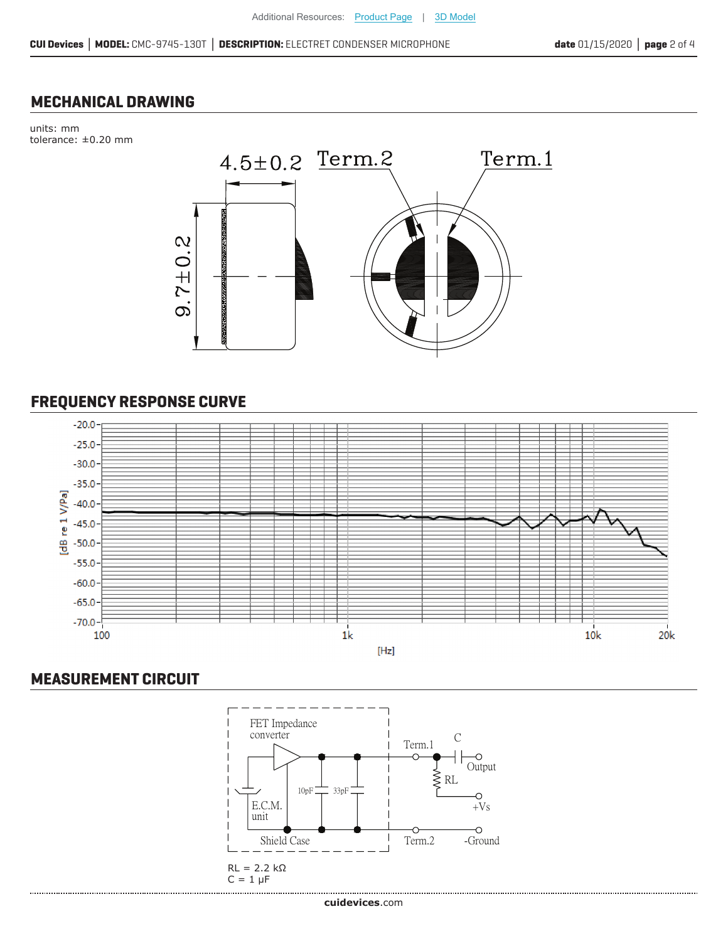#### **MECHANICAL DRAWING**

units: mm tolerance: ±0.20 mm



# **FREQUENCY RESPONSE CURVE**



#### **MEASUREMENT CIRCUIT**

.....................

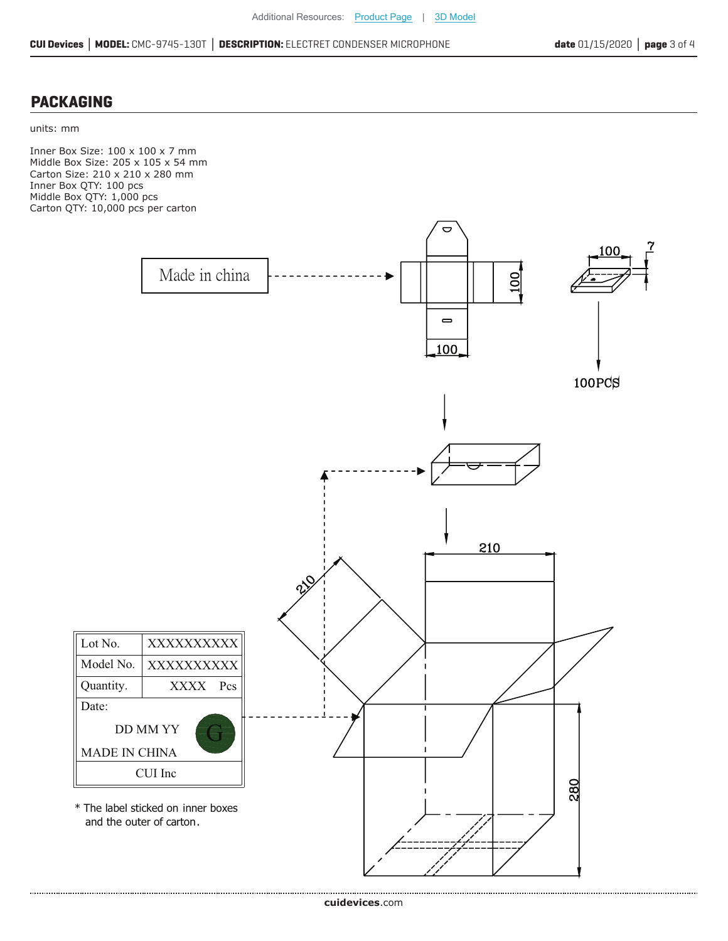#### **PACKAGING**

units: mm

Inner Box Size: 100 x 100 x 7 mm Middle Box Size: 205 x 105 x 54 mm Carton Size: 210 x 210 x 280 mm Inner Box QTY: 100 pcs Middle Box QTY: 1,000 pcs Carton QTY: 10,000 pcs per carton